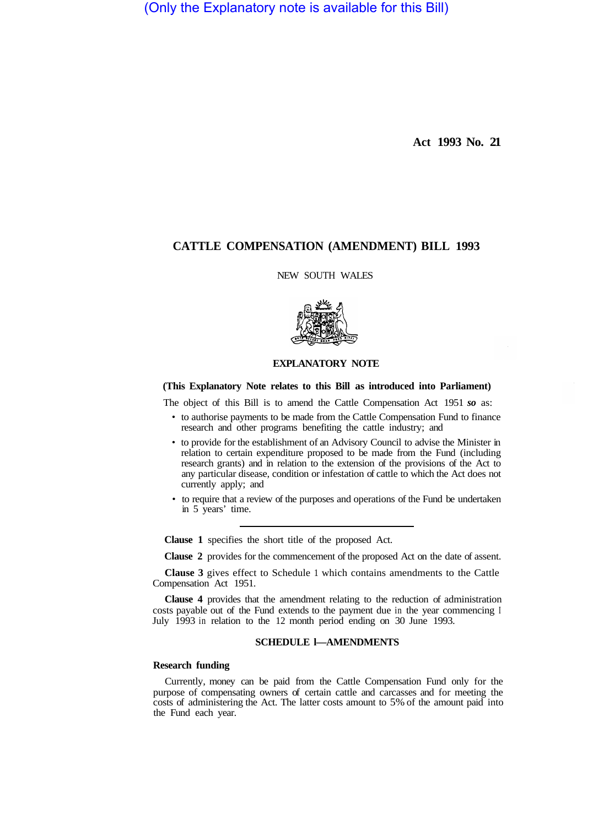(Only the Explanatory note is available for this Bill)

**Act 1993 No. 21** 

# **CATTLE COMPENSATION (AMENDMENT) BILL 1993**

NEW SOUTH WALES



### **EXPLANATORY NOTE**

### **(This Explanatory Note relates to this Bill as introduced into Parliament)**

The object of this Bill is to amend the Cattle Compensation Act 1951 *so* as:

- to authorise payments to be made from the Cattle Compensation Fund to finance research and other programs benefiting the cattle industry; and
- to provide for the establishment of an Advisory Council to advise the Minister in relation to certain expenditure proposed to be made from the Fund (including research grants) and in relation to the extension of the provisions of the Act to any particular disease, condition or infestation of cattle to which the Act does not currently apply; and
- to require that a review of the purposes and operations of the Fund be undertaken in 5 years' time.

**Clause 1** specifies the short title of the proposed Act.

**Clause 2** provides for the commencement of the proposed Act on the date of assent.

**Clause 3** gives effect to Schedule 1 which contains amendments to the Cattle Compensation Act 1951.

**Clause 4** provides that the amendment relating to the reduction of administration costs payable out of the Fund extends to the payment due in the year commencing I July 1993 in relation to the 12 month period ending on 30 June 1993.

## **SCHEDULE l—AMENDMENTS**

### **Research funding**

Currently, money can be paid from the Cattle Compensation Fund only for the purpose of compensating owners of certain cattle and carcasses and for meeting the costs of administering the Act. The latter costs amount to 5% of the amount paid into the Fund each year.